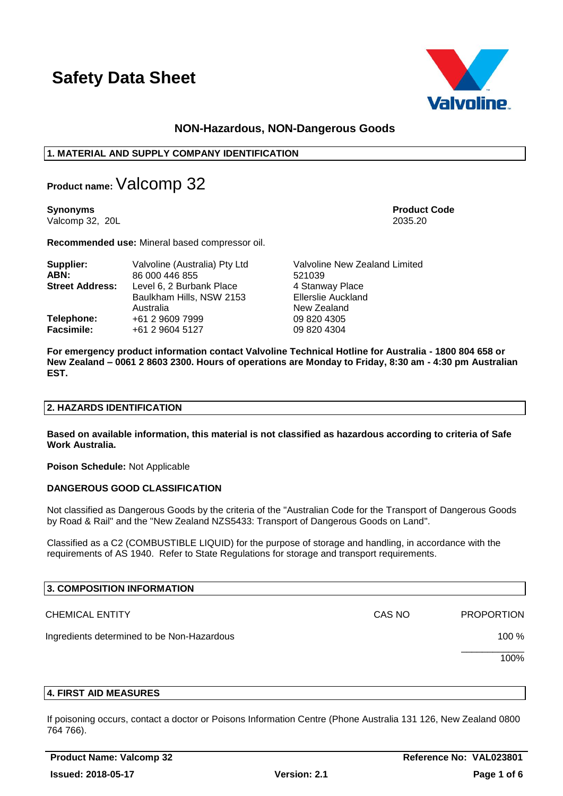

## **NON-Hazardous, NON-Dangerous Goods**

## **1. MATERIAL AND SUPPLY COMPANY IDENTIFICATION**

**Product name:**Valcomp 32

**Synonyms Product Code** Valcomp 32, 20L 2035.20

**Recommended use:** Mineral based compressor oil.

| Supplier:              | Valvoline (Australia) Pty Ltd                                     | Valvoline New Zealand Limited                               |  |  |  |
|------------------------|-------------------------------------------------------------------|-------------------------------------------------------------|--|--|--|
| ABN:                   | 86 000 446 855                                                    | 521039                                                      |  |  |  |
| <b>Street Address:</b> | Level 6, 2 Burbank Place<br>Baulkham Hills, NSW 2153<br>Australia | 4 Stanway Place<br><b>Ellerslie Auckland</b><br>New Zealand |  |  |  |
| Telephone:             | +61 2 9609 7999                                                   | 09 820 4305                                                 |  |  |  |
| <b>Facsimile:</b>      | +61 2 9604 5127                                                   | 09 820 4304                                                 |  |  |  |

**For emergency product information contact Valvoline Technical Hotline for Australia - 1800 804 658 or New Zealand – 0061 2 8603 2300. Hours of operations are Monday to Friday, 8:30 am - 4:30 pm Australian EST.**

### **2. HAZARDS IDENTIFICATION**

**Based on available information, this material is not classified as hazardous according to criteria of Safe Work Australia.**

**Poison Schedule:** Not Applicable

## **DANGEROUS GOOD CLASSIFICATION**

Not classified as Dangerous Goods by the criteria of the "Australian Code for the Transport of Dangerous Goods by Road & Rail" and the "New Zealand NZS5433: Transport of Dangerous Goods on Land".

Classified as a C2 (COMBUSTIBLE LIQUID) for the purpose of storage and handling, in accordance with the requirements of AS 1940. Refer to State Regulations for storage and transport requirements.

| 3. COMPOSITION INFORMATION                 |        |                   |
|--------------------------------------------|--------|-------------------|
| <b>CHEMICAL ENTITY</b>                     | CAS NO | <b>PROPORTION</b> |
| Ingredients determined to be Non-Hazardous |        | 100 %             |
|                                            |        | 100%              |

#### **4. FIRST AID MEASURES**

If poisoning occurs, contact a doctor or Poisons Information Centre (Phone Australia 131 126, New Zealand 0800 764 766).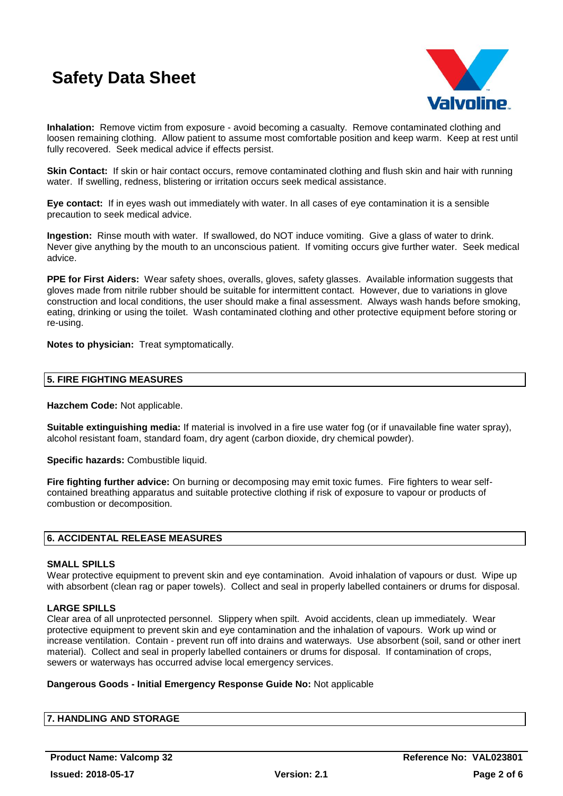

**Inhalation:** Remove victim from exposure - avoid becoming a casualty. Remove contaminated clothing and loosen remaining clothing. Allow patient to assume most comfortable position and keep warm. Keep at rest until fully recovered. Seek medical advice if effects persist.

**Skin Contact:** If skin or hair contact occurs, remove contaminated clothing and flush skin and hair with running water. If swelling, redness, blistering or irritation occurs seek medical assistance.

**Eye contact:** If in eyes wash out immediately with water. In all cases of eye contamination it is a sensible precaution to seek medical advice.

**Ingestion:** Rinse mouth with water. If swallowed, do NOT induce vomiting. Give a glass of water to drink. Never give anything by the mouth to an unconscious patient. If vomiting occurs give further water. Seek medical advice.

**PPE for First Aiders:** Wear safety shoes, overalls, gloves, safety glasses. Available information suggests that gloves made from nitrile rubber should be suitable for intermittent contact. However, due to variations in glove construction and local conditions, the user should make a final assessment. Always wash hands before smoking, eating, drinking or using the toilet. Wash contaminated clothing and other protective equipment before storing or re-using.

**Notes to physician:** Treat symptomatically.

#### **5. FIRE FIGHTING MEASURES**

**Hazchem Code:** Not applicable.

**Suitable extinguishing media:** If material is involved in a fire use water fog (or if unavailable fine water spray), alcohol resistant foam, standard foam, dry agent (carbon dioxide, dry chemical powder).

**Specific hazards:** Combustible liquid.

**Fire fighting further advice:** On burning or decomposing may emit toxic fumes. Fire fighters to wear selfcontained breathing apparatus and suitable protective clothing if risk of exposure to vapour or products of combustion or decomposition.

#### **6. ACCIDENTAL RELEASE MEASURES**

### **SMALL SPILLS**

Wear protective equipment to prevent skin and eve contamination. Avoid inhalation of vapours or dust. Wipe up with absorbent (clean rag or paper towels). Collect and seal in properly labelled containers or drums for disposal.

## **LARGE SPILLS**

Clear area of all unprotected personnel. Slippery when spilt. Avoid accidents, clean up immediately. Wear protective equipment to prevent skin and eye contamination and the inhalation of vapours. Work up wind or increase ventilation. Contain - prevent run off into drains and waterways. Use absorbent (soil, sand or other inert material). Collect and seal in properly labelled containers or drums for disposal. If contamination of crops, sewers or waterways has occurred advise local emergency services.

#### **Dangerous Goods - Initial Emergency Response Guide No:** Not applicable

## **7. HANDLING AND STORAGE**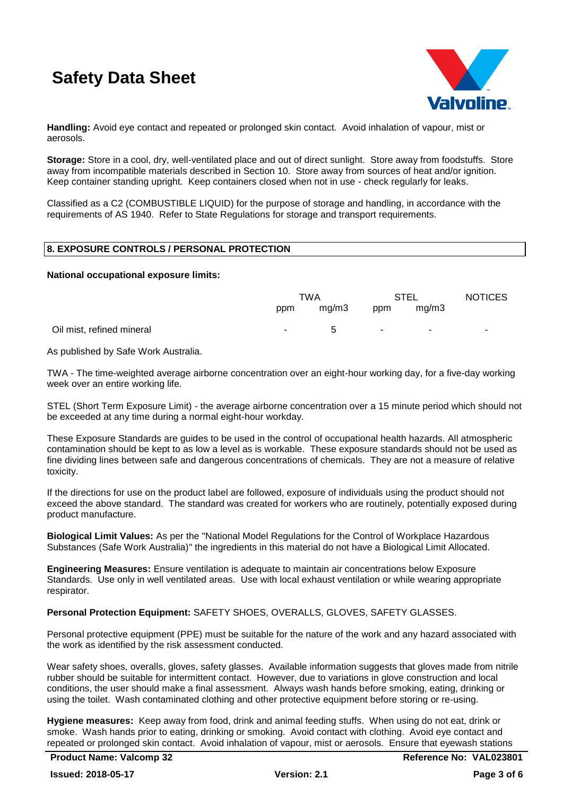

**Handling:** Avoid eye contact and repeated or prolonged skin contact. Avoid inhalation of vapour, mist or aerosols.

**Storage:** Store in a cool, dry, well-ventilated place and out of direct sunlight. Store away from foodstuffs. Store away from incompatible materials described in Section 10. Store away from sources of heat and/or ignition. Keep container standing upright. Keep containers closed when not in use - check regularly for leaks.

Classified as a C2 (COMBUSTIBLE LIQUID) for the purpose of storage and handling, in accordance with the requirements of AS 1940. Refer to State Regulations for storage and transport requirements.

## **8. EXPOSURE CONTROLS / PERSONAL PROTECTION**

#### **National occupational exposure limits:**

|                           | TWA    |             | STEL   |       | <b>NOTICES</b> |
|---------------------------|--------|-------------|--------|-------|----------------|
|                           | ppm    | mg/m3       | ppm    | mg/m3 |                |
| Oil mist, refined mineral | $\sim$ | $\mathbf b$ | $\sim$ | ۰.    | ۰.             |

As published by Safe Work Australia.

TWA - The time-weighted average airborne concentration over an eight-hour working day, for a five-day working week over an entire working life.

STEL (Short Term Exposure Limit) - the average airborne concentration over a 15 minute period which should not be exceeded at any time during a normal eight-hour workday.

These Exposure Standards are guides to be used in the control of occupational health hazards. All atmospheric contamination should be kept to as low a level as is workable. These exposure standards should not be used as fine dividing lines between safe and dangerous concentrations of chemicals. They are not a measure of relative toxicity.

If the directions for use on the product label are followed, exposure of individuals using the product should not exceed the above standard. The standard was created for workers who are routinely, potentially exposed during product manufacture.

**Biological Limit Values:** As per the "National Model Regulations for the Control of Workplace Hazardous Substances (Safe Work Australia)" the ingredients in this material do not have a Biological Limit Allocated.

**Engineering Measures:** Ensure ventilation is adequate to maintain air concentrations below Exposure Standards. Use only in well ventilated areas. Use with local exhaust ventilation or while wearing appropriate respirator.

## **Personal Protection Equipment:** SAFETY SHOES, OVERALLS, GLOVES, SAFETY GLASSES.

Personal protective equipment (PPE) must be suitable for the nature of the work and any hazard associated with the work as identified by the risk assessment conducted.

Wear safety shoes, overalls, gloves, safety glasses. Available information suggests that gloves made from nitrile rubber should be suitable for intermittent contact. However, due to variations in glove construction and local conditions, the user should make a final assessment. Always wash hands before smoking, eating, drinking or using the toilet. Wash contaminated clothing and other protective equipment before storing or re-using.

**Hygiene measures:** Keep away from food, drink and animal feeding stuffs. When using do not eat, drink or smoke. Wash hands prior to eating, drinking or smoking. Avoid contact with clothing. Avoid eye contact and repeated or prolonged skin contact. Avoid inhalation of vapour, mist or aerosols. Ensure that eyewash stations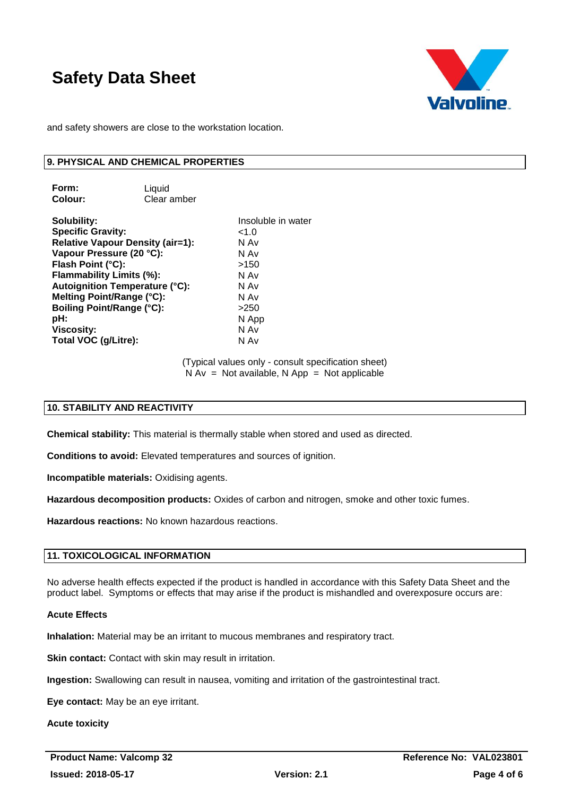

and safety showers are close to the workstation location.

#### **9. PHYSICAL AND CHEMICAL PROPERTIES**

**Form:** Liquid **Colour:** Clear amber

**Solubility:** Insoluble in water **Specific Gravity:** <1.0<br> **Relative Vapour Density (air=1):** N Av **Relative Vapour Density (air=1):** N Av<br>Vapour Pressure (20 °C): N Av Vapour Pressure (20 °C): **Flash Point (°C):** >150 **Flammability Limits (%):** N Av **Autoignition Temperature (°C):** N Av **Melting Point/Range (°C):** N Av **Boiling Point/Range (°C):** >250 **pH:** N App **Viscosity:** N Av **Total VOC (g/Litre):** N Av

(Typical values only - consult specification sheet)  $N Av = Not available, N App = Not applicable$ 

## **10. STABILITY AND REACTIVITY**

**Chemical stability:** This material is thermally stable when stored and used as directed.

**Conditions to avoid:** Elevated temperatures and sources of ignition.

**Incompatible materials:** Oxidising agents.

**Hazardous decomposition products:** Oxides of carbon and nitrogen, smoke and other toxic fumes.

**Hazardous reactions:** No known hazardous reactions.

## **11. TOXICOLOGICAL INFORMATION**

No adverse health effects expected if the product is handled in accordance with this Safety Data Sheet and the product label. Symptoms or effects that may arise if the product is mishandled and overexposure occurs are:

#### **Acute Effects**

**Inhalation:** Material may be an irritant to mucous membranes and respiratory tract.

**Skin contact:** Contact with skin may result in irritation.

**Ingestion:** Swallowing can result in nausea, vomiting and irritation of the gastrointestinal tract.

**Eye contact:** May be an eye irritant.

**Acute toxicity**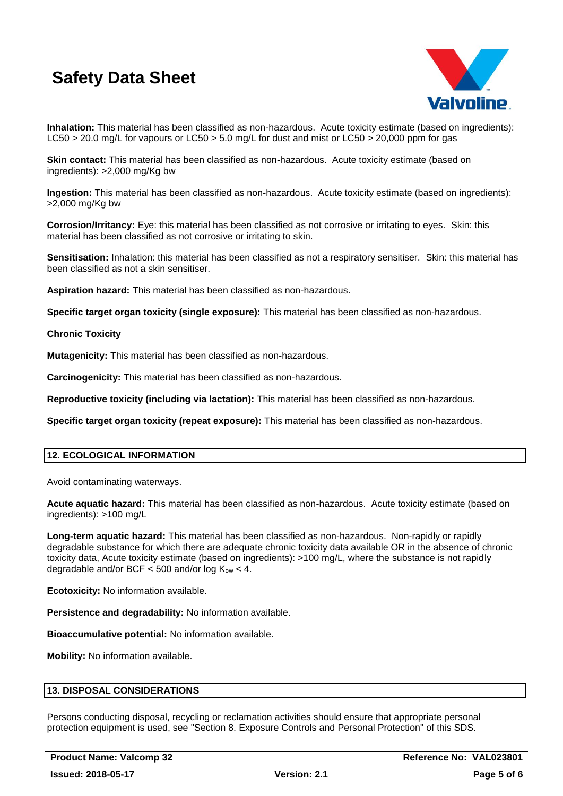

**Inhalation:** This material has been classified as non-hazardous. Acute toxicity estimate (based on ingredients): LC50 > 20.0 mg/L for vapours or LC50 > 5.0 mg/L for dust and mist or LC50 > 20,000 ppm for gas

**Skin contact:** This material has been classified as non-hazardous. Acute toxicity estimate (based on ingredients): >2,000 mg/Kg bw

**Ingestion:** This material has been classified as non-hazardous. Acute toxicity estimate (based on ingredients): >2,000 mg/Kg bw

**Corrosion/Irritancy:** Eye: this material has been classified as not corrosive or irritating to eyes. Skin: this material has been classified as not corrosive or irritating to skin.

**Sensitisation:** Inhalation: this material has been classified as not a respiratory sensitiser. Skin: this material has been classified as not a skin sensitiser.

**Aspiration hazard:** This material has been classified as non-hazardous.

**Specific target organ toxicity (single exposure):** This material has been classified as non-hazardous.

### **Chronic Toxicity**

**Mutagenicity:** This material has been classified as non-hazardous.

**Carcinogenicity:** This material has been classified as non-hazardous.

**Reproductive toxicity (including via lactation):** This material has been classified as non-hazardous.

**Specific target organ toxicity (repeat exposure):** This material has been classified as non-hazardous.

## **12. ECOLOGICAL INFORMATION**

Avoid contaminating waterways.

**Acute aquatic hazard:** This material has been classified as non-hazardous. Acute toxicity estimate (based on ingredients): >100 mg/L

**Long-term aquatic hazard:** This material has been classified as non-hazardous. Non-rapidly or rapidly degradable substance for which there are adequate chronic toxicity data available OR in the absence of chronic toxicity data, Acute toxicity estimate (based on ingredients): >100 mg/L, where the substance is not rapidly degradable and/or BCF  $<$  500 and/or log K<sub>ow</sub>  $<$  4.

**Ecotoxicity:** No information available.

**Persistence and degradability:** No information available.

**Bioaccumulative potential:** No information available.

**Mobility:** No information available.

## **13. DISPOSAL CONSIDERATIONS**

Persons conducting disposal, recycling or reclamation activities should ensure that appropriate personal protection equipment is used, see "Section 8. Exposure Controls and Personal Protection" of this SDS.